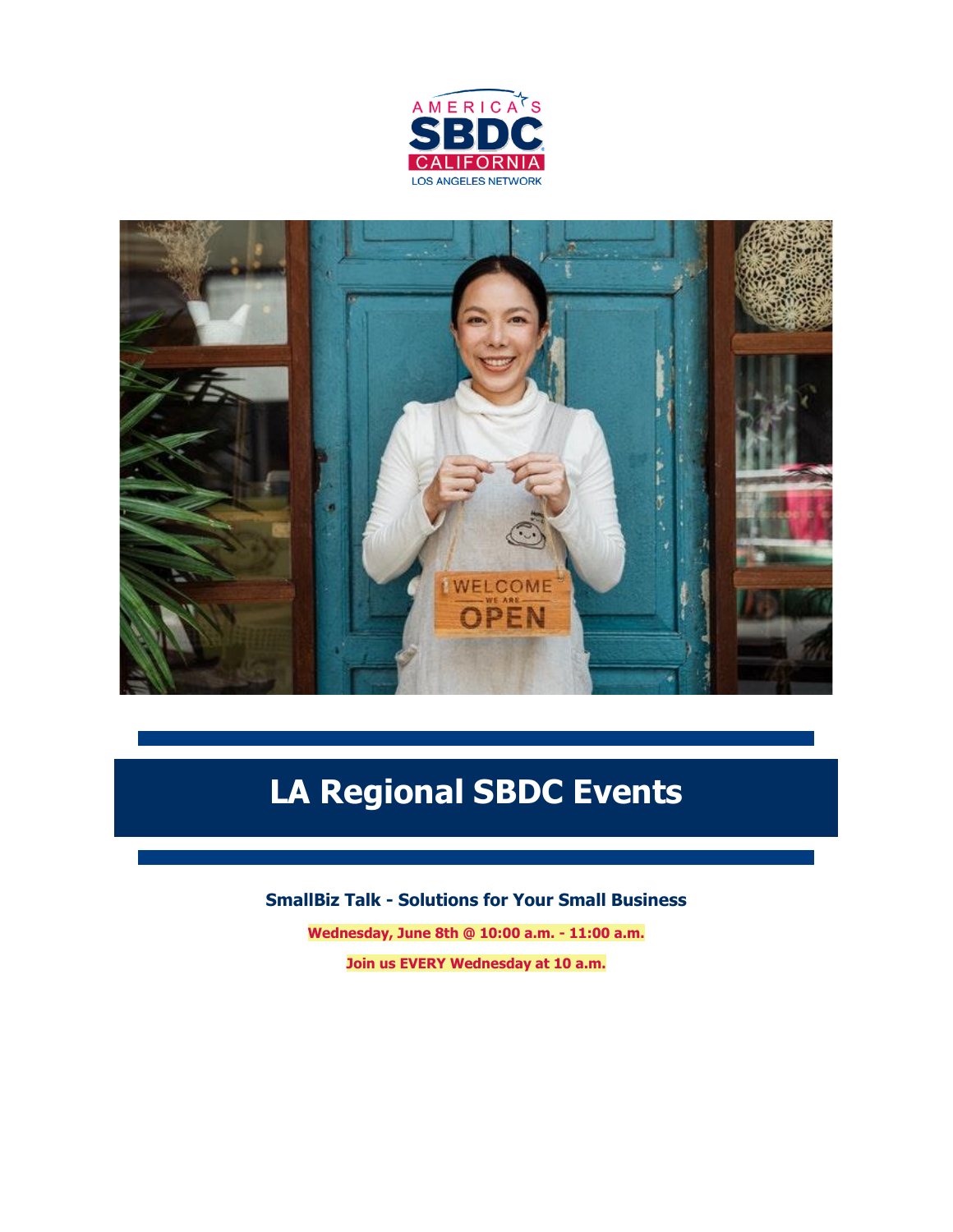



# **LA Regional SBDC Events**

**SmallBiz Talk - Solutions for Your Small Business**

**Wednesday, June 8th @ 10:00 a.m. - 11:00 a.m. Join us EVERY Wednesday at 10 a.m.**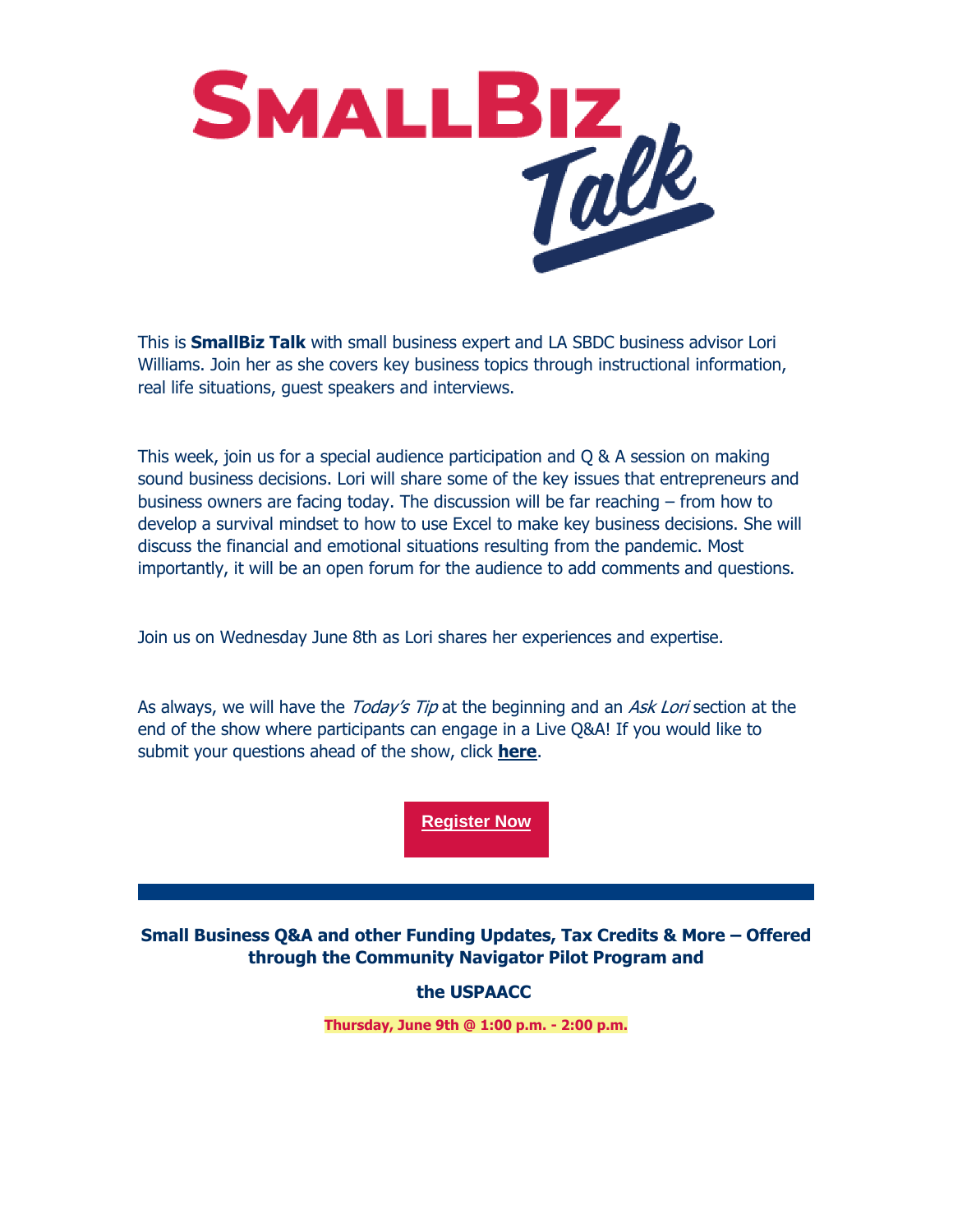

This is **SmallBiz Talk** with small business expert and LA SBDC business advisor Lori Williams. Join her as she covers key business topics through instructional information, real life situations, guest speakers and interviews.

This week, join us for a special audience participation and Q & A session on making sound business decisions. Lori will share some of the key issues that entrepreneurs and business owners are facing today. The discussion will be far reaching – from how to develop a survival mindset to how to use Excel to make key business decisions. She will discuss the financial and emotional situations resulting from the pandemic. Most importantly, it will be an open forum for the audience to add comments and questions.

Join us on Wednesday June 8th as Lori shares her experiences and expertise.

As always, we will have the *Today's Tip* at the beginning and an Ask Lori section at the end of the show where participants can engage in a Live Q&A! If you would like to submit your questions ahead of the show, click **[here](https://nam12.safelinks.protection.outlook.com/?url=https%3A%2F%2Fr20.rs6.net%2Ftn.jsp%3Ff%3D001XOyRl2ApWYQqRCh66lsTEOe8RlkhIiuEckHpo97A6Wmmpv-HmgtMqhiE8M05hxQXjLNRVXhU-qLCmIiVQLDifs1RbtWjfRuTkQhMfRdCdHuRRkVDu91rrWV5Ir-XCeOB2DQXyYbaqtbjVIp8pmyQ1kDczj7lTCqLTYeEXz159QmntNMBu2ftCQ%3D%3D%26c%3DFsk2RsTpolKBFvoZxVJc5cFSl-E6PZDZ59JDfFM_Q5u6BdCCdfQzog%3D%3D%26ch%3D0yg_Z8bBtMTuJJE5bgU52PN2mMJKPITBIJRXUTfodhyW4ABI2p4gyw%3D%3D&data=05%7C01%7C%7Cda42197ebcc14251934808da49bf290f%7C84df9e7fe9f640afb435aaaaaaaaaaaa%7C1%7C0%7C637903382682398922%7CUnknown%7CTWFpbGZsb3d8eyJWIjoiMC4wLjAwMDAiLCJQIjoiV2luMzIiLCJBTiI6Ik1haWwiLCJXVCI6Mn0%3D%7C3000%7C%7C%7C&sdata=CCDpVrcPxlKfYwKn%2FG0nxD0TKrSisUtyNuVYob5CtCg%3D&reserved=0)**.

**[Register Now](https://nam12.safelinks.protection.outlook.com/?url=https%3A%2F%2Fr20.rs6.net%2Ftn.jsp%3Ff%3D001X0UU8XypIiBLxhZPh9Ba8WxaiRZUzcn4bYrXYbzbCtsKlPJ57CsRbzwIdNmZO2_JqgnP9nSPQ9LDEMkb8dRQ91S1G-sBDXR4eeez55Hh_OsVV7ANuPNwIoG0mKW8Otf51ZILRkKWlZlqcEQXevtk5a5eL8lKsaYo-Nyf2Th_FYgDhWeQ4LlTglzxaN1sICq9WXXjcFfq3k6ONI3NMsZHnw%3D%3D%26c%3DLZ5E2TmT5YVMsPK6vni195667Q82BSeIiTENrXG6C7l3Gj7PmJ9AUw%3D%3D%26ch%3DOXbaqBEZCa55yvrBTYxestcH7pSkOnZDOPq1HVBU5GqFErYqQnsmMQ%3D%3D&data=05%7C01%7C%7Cda42197ebcc14251934808da49bf290f%7C84df9e7fe9f640afb435aaaaaaaaaaaa%7C1%7C0%7C637903382682398922%7CUnknown%7CTWFpbGZsb3d8eyJWIjoiMC4wLjAwMDAiLCJQIjoiV2luMzIiLCJBTiI6Ik1haWwiLCJXVCI6Mn0%3D%7C3000%7C%7C%7C&sdata=pvy9LvCEIORHyHyGk7a5DEOCEYyFb8m2cJ920p1TEro%3D&reserved=0)**

**Small Business Q&A and other Funding Updates, Tax Credits & More – Offered through the Community Navigator Pilot Program and** 

#### **the USPAACC**

**Thursday, June 9th @ 1:00 p.m. - 2:00 p.m.**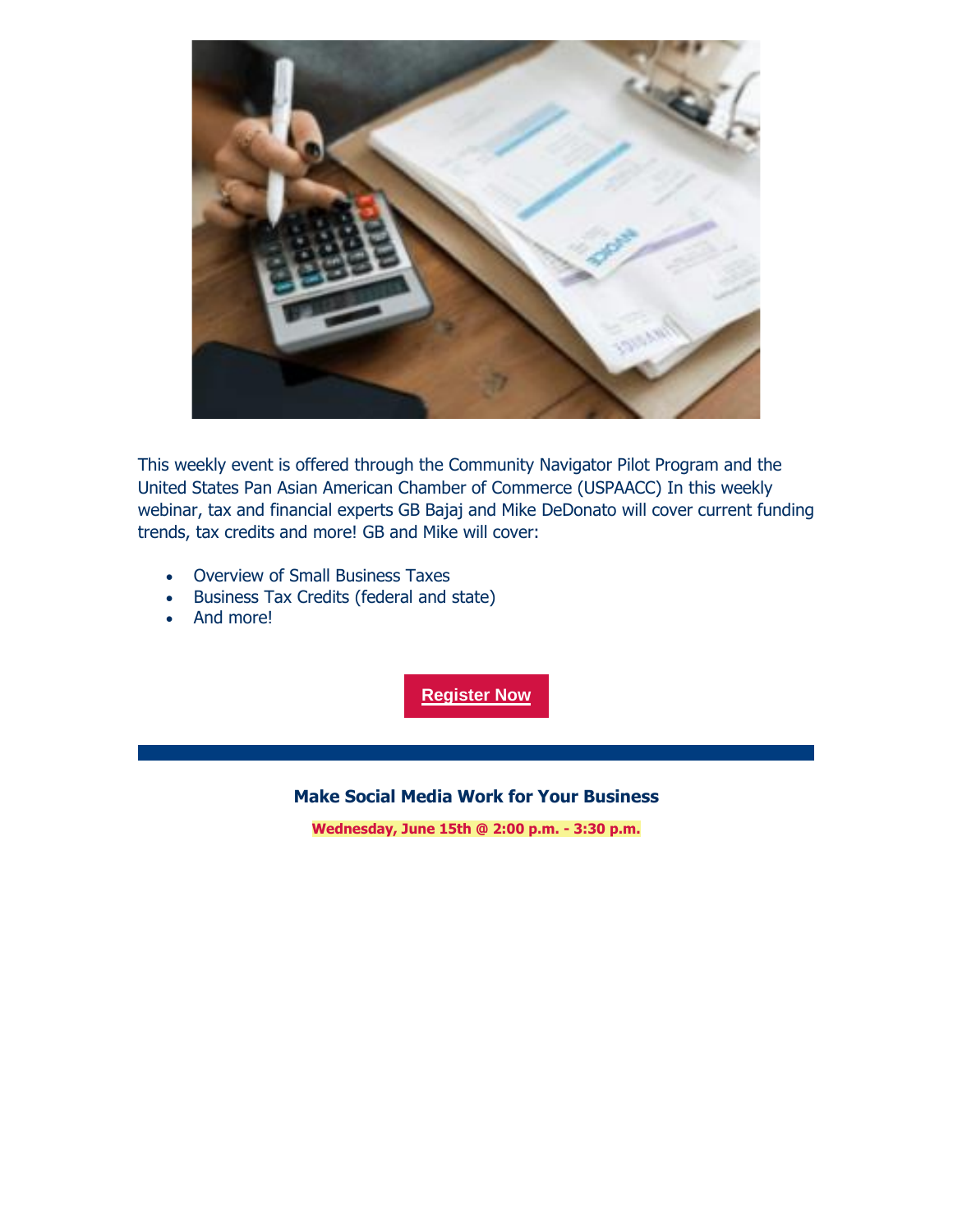

This weekly event is offered through the Community Navigator Pilot Program and the United States Pan Asian American Chamber of Commerce (USPAACC) In this weekly webinar, tax and financial experts GB Bajaj and Mike DeDonato will cover current funding trends, tax credits and more! GB and Mike will cover:

- Overview of Small Business Taxes
- Business Tax Credits (federal and state)
- And more!

**[Register Now](https://nam12.safelinks.protection.outlook.com/?url=https%3A%2F%2Fr20.rs6.net%2Ftn.jsp%3Ff%3D001X0UU8XypIiBLxhZPh9Ba8WxaiRZUzcn4bYrXYbzbCtsKlPJ57CsRbwLro7K4-lqr0ctij_oyVlvb6JUUJLl5mIUfO9p1YhdJl35-a4ersX2atB0iClNcHqmZ3Y5DhQiZrMjUmzsb02dwThJpSfCoIEE5ZxjYx-5jYTAolaAsFaqL6zzHeCaHqIsGdjM4iLIHWe4yQtNEJiaLhLwk2Eq6pQ%3D%3D%26c%3DLZ5E2TmT5YVMsPK6vni195667Q82BSeIiTENrXG6C7l3Gj7PmJ9AUw%3D%3D%26ch%3DOXbaqBEZCa55yvrBTYxestcH7pSkOnZDOPq1HVBU5GqFErYqQnsmMQ%3D%3D&data=05%7C01%7C%7Cda42197ebcc14251934808da49bf290f%7C84df9e7fe9f640afb435aaaaaaaaaaaa%7C1%7C0%7C637903382682398922%7CUnknown%7CTWFpbGZsb3d8eyJWIjoiMC4wLjAwMDAiLCJQIjoiV2luMzIiLCJBTiI6Ik1haWwiLCJXVCI6Mn0%3D%7C3000%7C%7C%7C&sdata=e55qq%2BUVPY6ul4OiPsWghr6Rge3vr3HjZgBl0uD2Mww%3D&reserved=0)**

#### **Make Social Media Work for Your Business**

**Wednesday, June 15th @ 2:00 p.m. - 3:30 p.m.**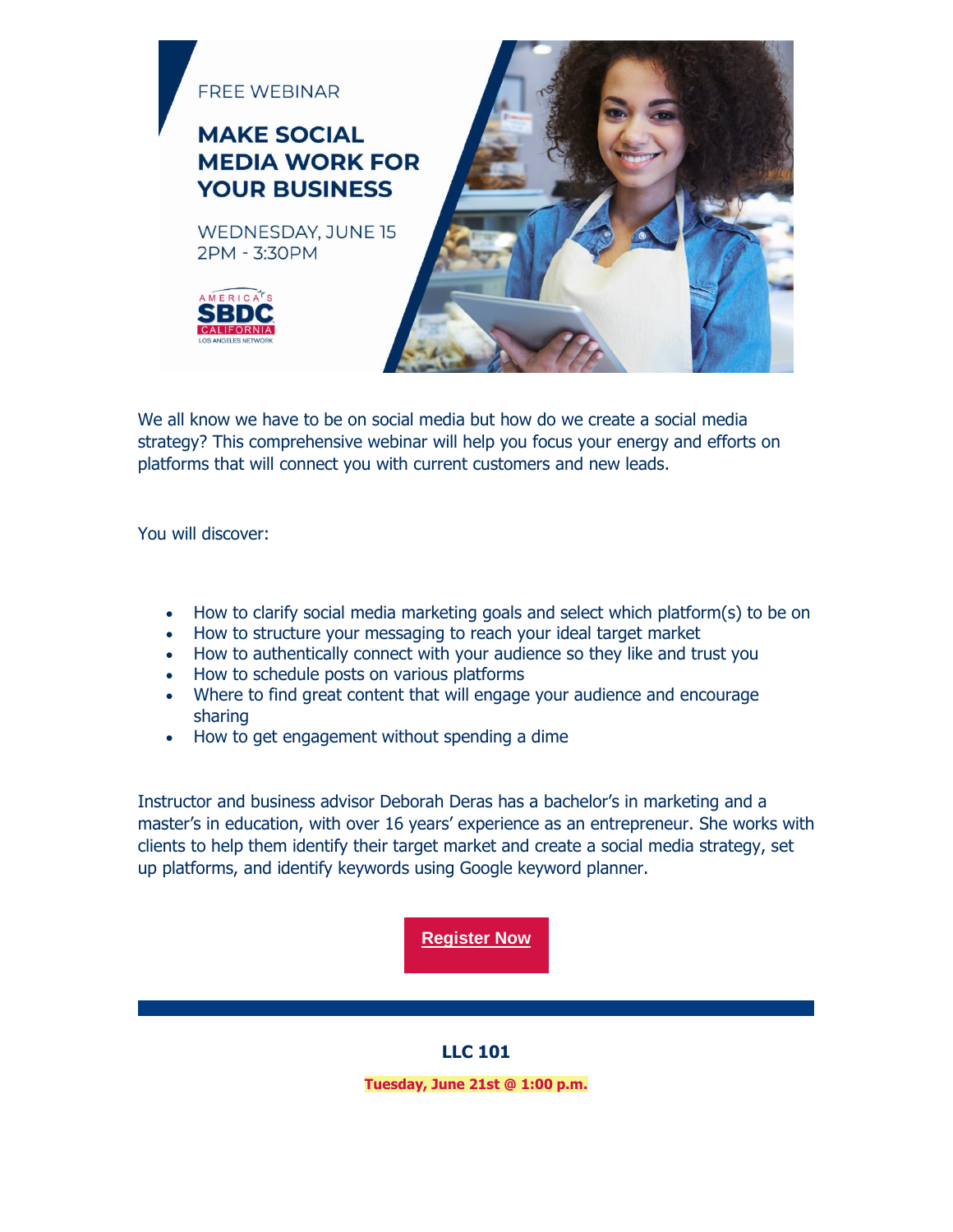

We all know we have to be on social media but how do we create a social media strategy? This comprehensive webinar will help you focus your energy and efforts on platforms that will connect you with current customers and new leads.

You will discover:

- How to clarify social media marketing goals and select which platform(s) to be on
- How to structure your messaging to reach your ideal target market
- How to authentically connect with your audience so they like and trust you
- How to schedule posts on various platforms
- Where to find great content that will engage your audience and encourage sharing
- How to get engagement without spending a dime

Instructor and business advisor Deborah Deras has a bachelor's in marketing and a master's in education, with over 16 years' experience as an entrepreneur. She works with clients to help them identify their target market and create a social media strategy, set up platforms, and identify keywords using Google keyword planner.

**[Register Now](https://nam12.safelinks.protection.outlook.com/?url=https%3A%2F%2Fr20.rs6.net%2Ftn.jsp%3Ff%3D001X0UU8XypIiBLxhZPh9Ba8WxaiRZUzcn4bYrXYbzbCtsKlPJ57CsRb6qVaqSDxw14lqG-an9mjLYCigxdJPd6vrv18No85Ng6PJZo65ZDsEeBO5-DjHGLsGue4Rx6bBqEoWLaCA84Rj4CSaBQrRwd5ujL6VqIGPXX78NydDXI0FePEwwBevSfbbdbMwzEcUqv386IYA9ZJP_9vx9hrnr_G-g8LN-fgfoo%26c%3DLZ5E2TmT5YVMsPK6vni195667Q82BSeIiTENrXG6C7l3Gj7PmJ9AUw%3D%3D%26ch%3DOXbaqBEZCa55yvrBTYxestcH7pSkOnZDOPq1HVBU5GqFErYqQnsmMQ%3D%3D&data=05%7C01%7C%7Cda42197ebcc14251934808da49bf290f%7C84df9e7fe9f640afb435aaaaaaaaaaaa%7C1%7C0%7C637903382682398922%7CUnknown%7CTWFpbGZsb3d8eyJWIjoiMC4wLjAwMDAiLCJQIjoiV2luMzIiLCJBTiI6Ik1haWwiLCJXVCI6Mn0%3D%7C3000%7C%7C%7C&sdata=hwoDmpcJqzQB%2FJI63ZE2KkIN7u93TwDUkSjbRVeGj6k%3D&reserved=0)**

#### **LLC 101**

**Tuesday, June 21st @ 1:00 p.m.**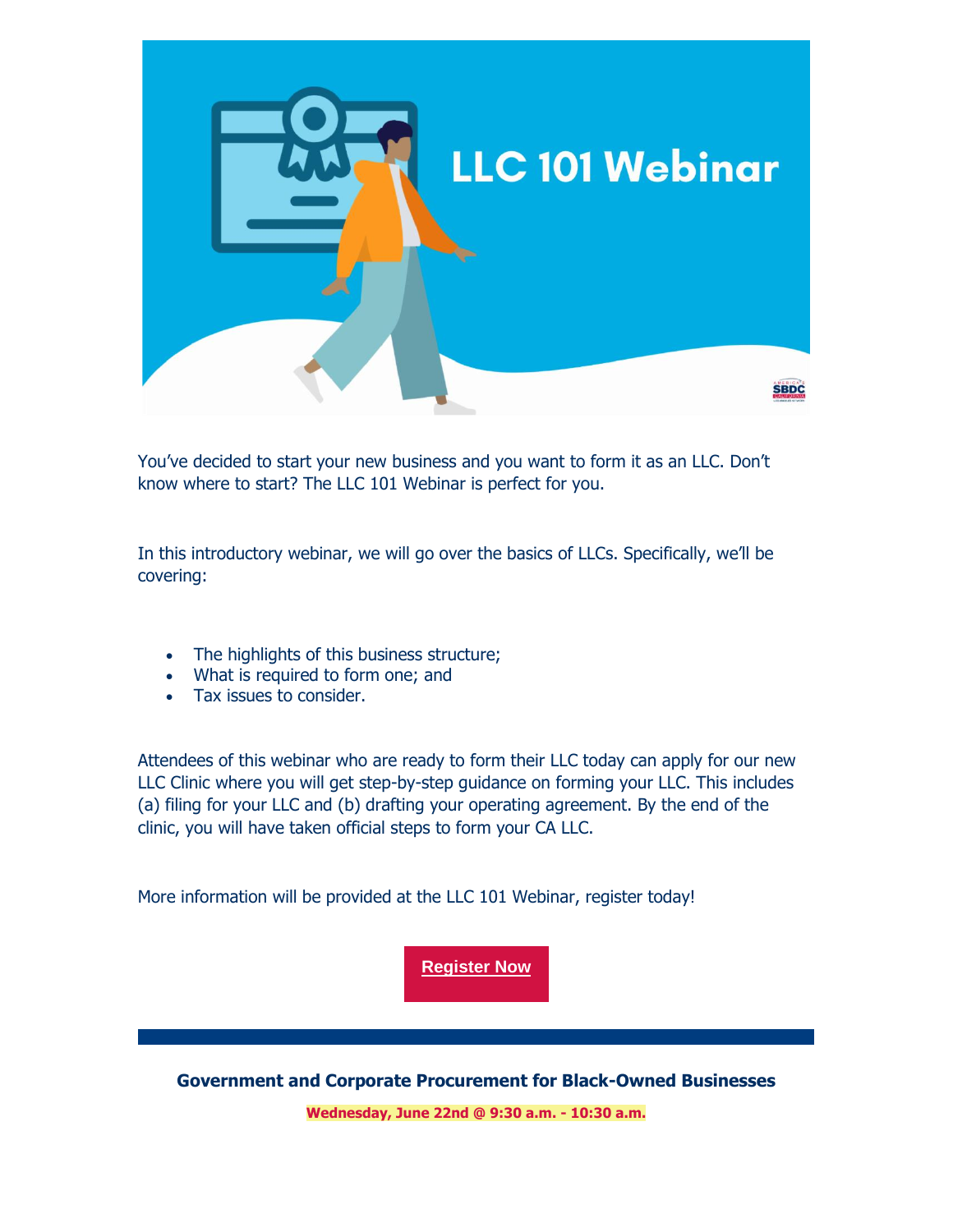

You've decided to start your new business and you want to form it as an LLC. Don't know where to start? The LLC 101 Webinar is perfect for you.

In this introductory webinar, we will go over the basics of LLCs. Specifically, we'll be covering:

- The highlights of this business structure;
- What is required to form one; and
- Tax issues to consider.

Attendees of this webinar who are ready to form their LLC today can apply for our new LLC Clinic where you will get step-by-step guidance on forming your LLC. This includes (a) filing for your LLC and (b) drafting your operating agreement. By the end of the clinic, you will have taken official steps to form your CA LLC.

More information will be provided at the LLC 101 Webinar, register today!

**[Register Now](https://nam12.safelinks.protection.outlook.com/?url=https%3A%2F%2Fr20.rs6.net%2Ftn.jsp%3Ff%3D001X0UU8XypIiBLxhZPh9Ba8WxaiRZUzcn4bYrXYbzbCtsKlPJ57CsRbyuhT82ILyee-Cd7Nt9n9LoQuuomkTibWkkcxOE3TVJqgLSF6n9hElHAVQiSGasmbj-ACtmzhpvv6N3cwNNqgVgEkJoZ5fvKt9FPDUDzosTS-bfxVRiNb-ibHd_XrNw3eAo6OLNqlv6BE4J7R8fdWZEkbz5NSpQn44gPrywEo6Ix%26c%3DLZ5E2TmT5YVMsPK6vni195667Q82BSeIiTENrXG6C7l3Gj7PmJ9AUw%3D%3D%26ch%3DOXbaqBEZCa55yvrBTYxestcH7pSkOnZDOPq1HVBU5GqFErYqQnsmMQ%3D%3D&data=05%7C01%7C%7Cda42197ebcc14251934808da49bf290f%7C84df9e7fe9f640afb435aaaaaaaaaaaa%7C1%7C0%7C637903382682398922%7CUnknown%7CTWFpbGZsb3d8eyJWIjoiMC4wLjAwMDAiLCJQIjoiV2luMzIiLCJBTiI6Ik1haWwiLCJXVCI6Mn0%3D%7C3000%7C%7C%7C&sdata=wzZX8cFgZXtHFE05inz59ItKXOzuN%2BwI5qx%2B9M39xmI%3D&reserved=0)**

**Government and Corporate Procurement for Black-Owned Businesses**

**Wednesday, June 22nd @ 9:30 a.m. - 10:30 a.m.**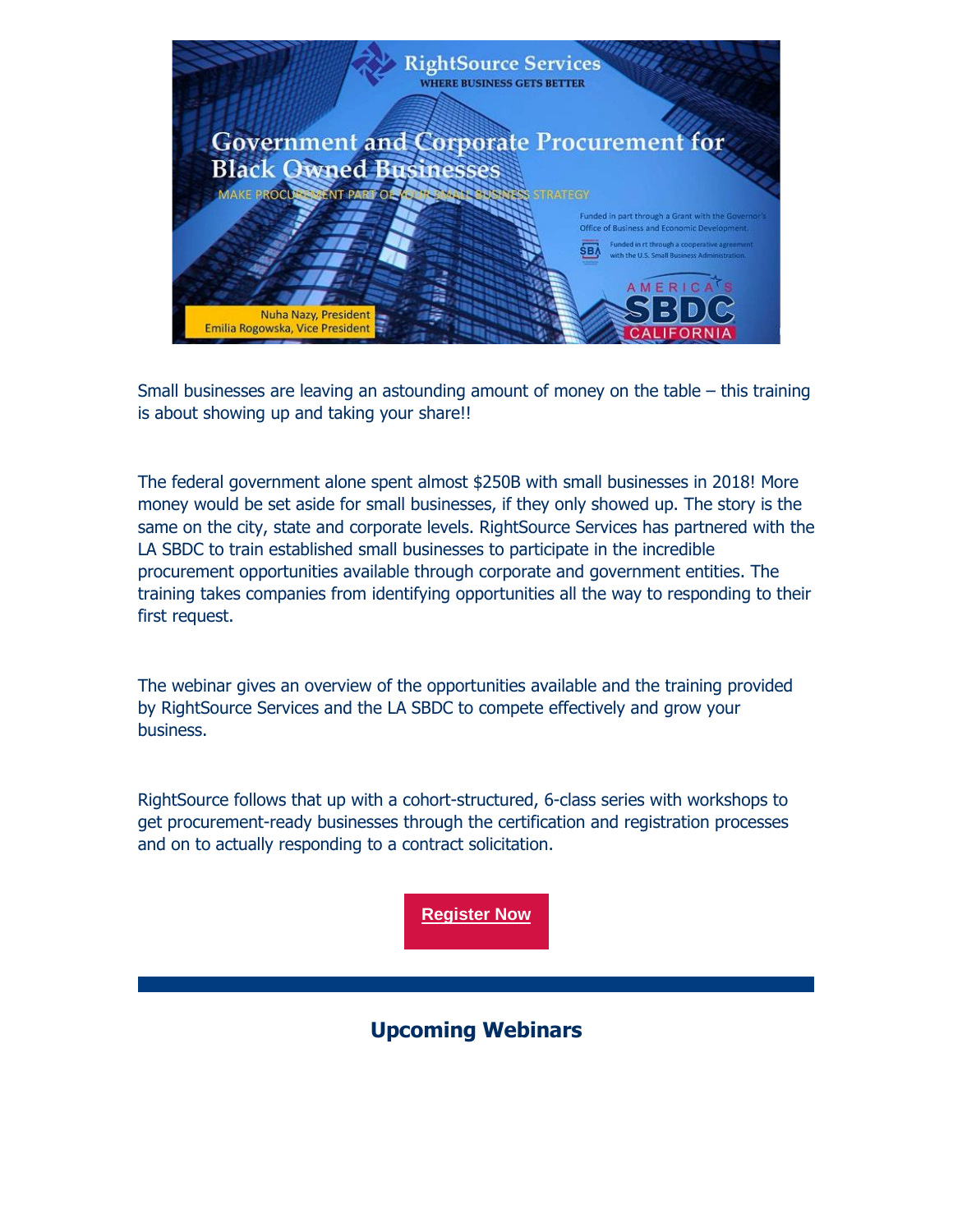

Small businesses are leaving an astounding amount of money on the table – this training is about showing up and taking your share!!

The federal government alone spent almost \$250B with small businesses in 2018! More money would be set aside for small businesses, if they only showed up. The story is the same on the city, state and corporate levels. RightSource Services has partnered with the LA SBDC to train established small businesses to participate in the incredible procurement opportunities available through corporate and government entities. The training takes companies from identifying opportunities all the way to responding to their first request.

The webinar gives an overview of the opportunities available and the training provided by RightSource Services and the LA SBDC to compete effectively and grow your business.

RightSource follows that up with a cohort-structured, 6-class series with workshops to get procurement-ready businesses through the certification and registration processes and on to actually responding to a contract solicitation.

**[Register Now](https://nam12.safelinks.protection.outlook.com/?url=https%3A%2F%2Fr20.rs6.net%2Ftn.jsp%3Ff%3D001X0UU8XypIiBLxhZPh9Ba8WxaiRZUzcn4bYrXYbzbCtsKlPJ57CsRb-KUB1eVwIs156kyDBq7HeL7ReAOMIpZyNae1rwt-Dzi48rxkPxXYGwhQob5lUfNWi6_j8USTeKqtJh0s3fgehg6mHgzivL1l1k3oWmgnwDS5A0_7UUwo7863r4KY7k1iqZ2FGXhwBLRNLAeOGvQzyoNRIdOhwfPSQVaaS_sm5dCFbRcJM8LlnpuYFXzgIJnOrFDEUjab6MH4KTzycMdSZo%3D%26c%3DLZ5E2TmT5YVMsPK6vni195667Q82BSeIiTENrXG6C7l3Gj7PmJ9AUw%3D%3D%26ch%3DOXbaqBEZCa55yvrBTYxestcH7pSkOnZDOPq1HVBU5GqFErYqQnsmMQ%3D%3D&data=05%7C01%7C%7Cda42197ebcc14251934808da49bf290f%7C84df9e7fe9f640afb435aaaaaaaaaaaa%7C1%7C0%7C637903382682398922%7CUnknown%7CTWFpbGZsb3d8eyJWIjoiMC4wLjAwMDAiLCJQIjoiV2luMzIiLCJBTiI6Ik1haWwiLCJXVCI6Mn0%3D%7C3000%7C%7C%7C&sdata=YzomoF6LU4jKJouVjoYOqPUOb5HAwyBcmHx4Gwuh3J0%3D&reserved=0)**

### **Upcoming Webinars**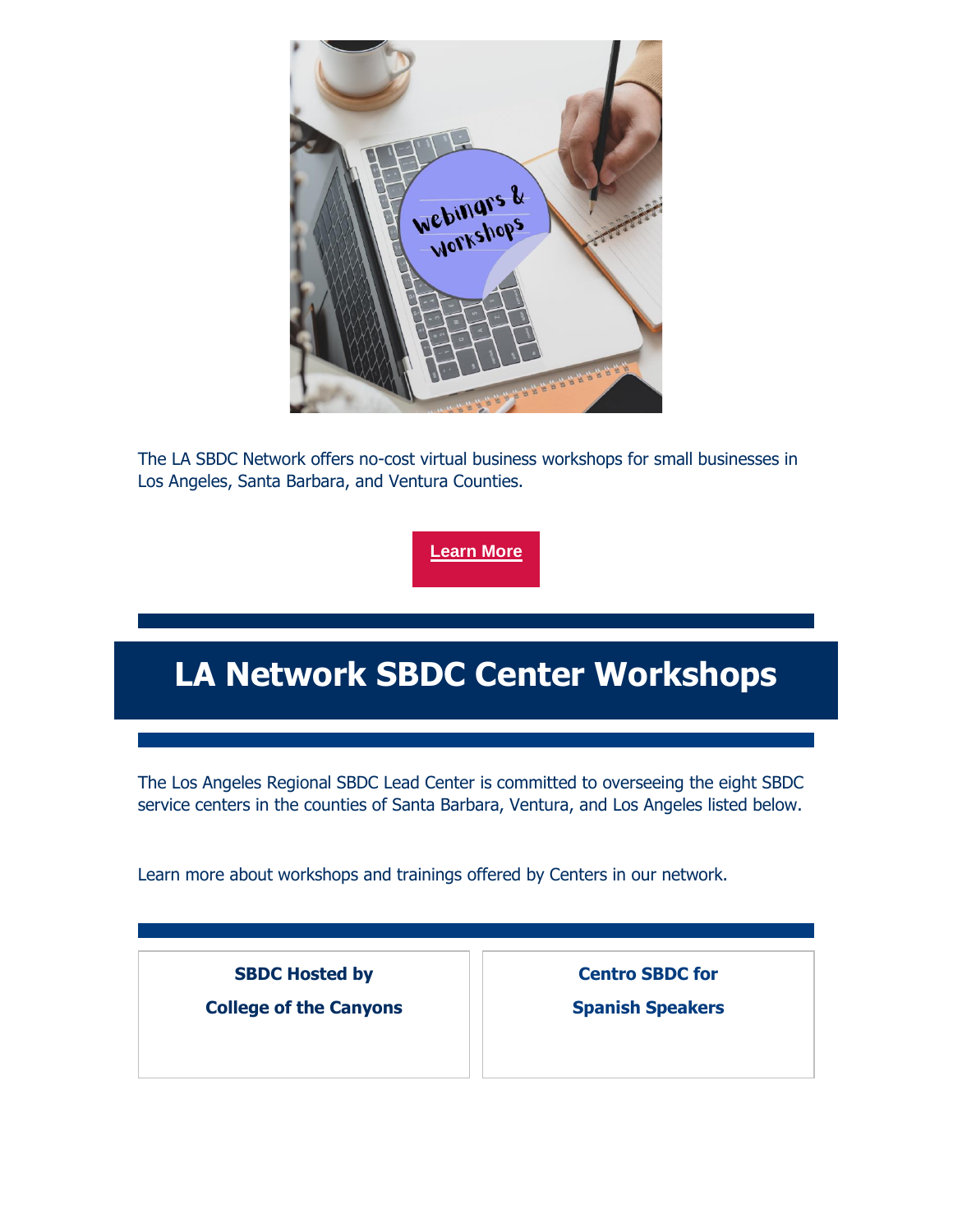

The LA SBDC Network offers no-cost virtual business workshops for small businesses in Los Angeles, Santa Barbara, and Ventura Counties.

**[Learn More](https://nam12.safelinks.protection.outlook.com/?url=https%3A%2F%2Fr20.rs6.net%2Ftn.jsp%3Ff%3D001X0UU8XypIiBLxhZPh9Ba8WxaiRZUzcn4bYrXYbzbCtsKlPJ57CsRb_28Z-YUKZ0qFZ87LAZjJSQPDjFDj8FVwFtEgm2CRBQ2Mdfz_50tDTf55DzUtcdATCns6rPVKNi0TG93_T7xF1ZVgfmEqMBgwNTT6tM0H7s5%26c%3DLZ5E2TmT5YVMsPK6vni195667Q82BSeIiTENrXG6C7l3Gj7PmJ9AUw%3D%3D%26ch%3DOXbaqBEZCa55yvrBTYxestcH7pSkOnZDOPq1HVBU5GqFErYqQnsmMQ%3D%3D&data=05%7C01%7C%7Cda42197ebcc14251934808da49bf290f%7C84df9e7fe9f640afb435aaaaaaaaaaaa%7C1%7C0%7C637903382682398922%7CUnknown%7CTWFpbGZsb3d8eyJWIjoiMC4wLjAwMDAiLCJQIjoiV2luMzIiLCJBTiI6Ik1haWwiLCJXVCI6Mn0%3D%7C3000%7C%7C%7C&sdata=4DKe9u5XKC1zH5izKKIpjzd5ZIWgVX6TcwdYwR5QpSU%3D&reserved=0)**

## **LA Network SBDC Center Workshops**

The Los Angeles Regional SBDC Lead Center is committed to overseeing the eight SBDC service centers in the counties of Santa Barbara, Ventura, and Los Angeles listed below.

Learn more about workshops and trainings offered by Centers in our network.

**SBDC Hosted by** 

**College of the Canyons**

**Centro SBDC for Spanish Speakers**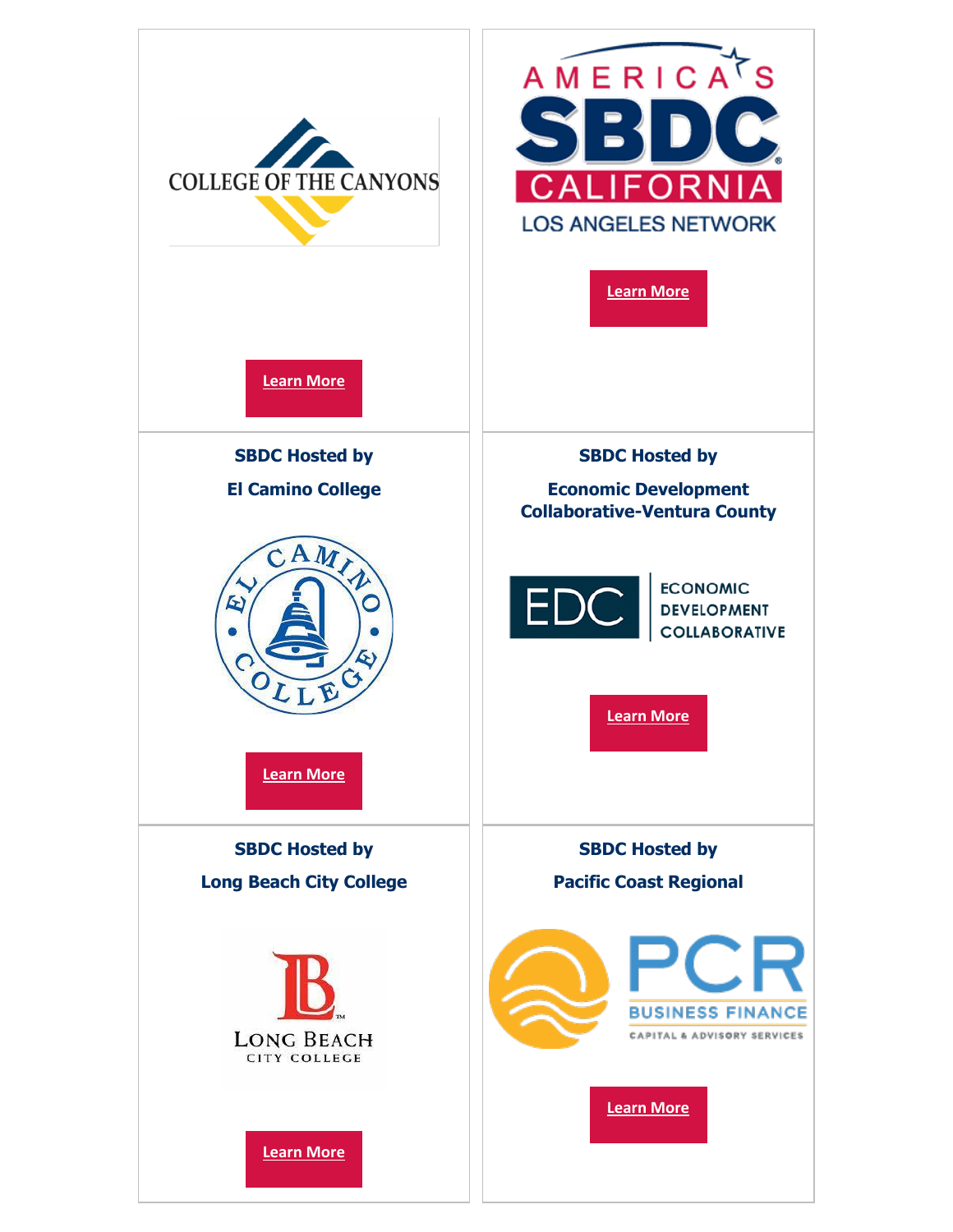